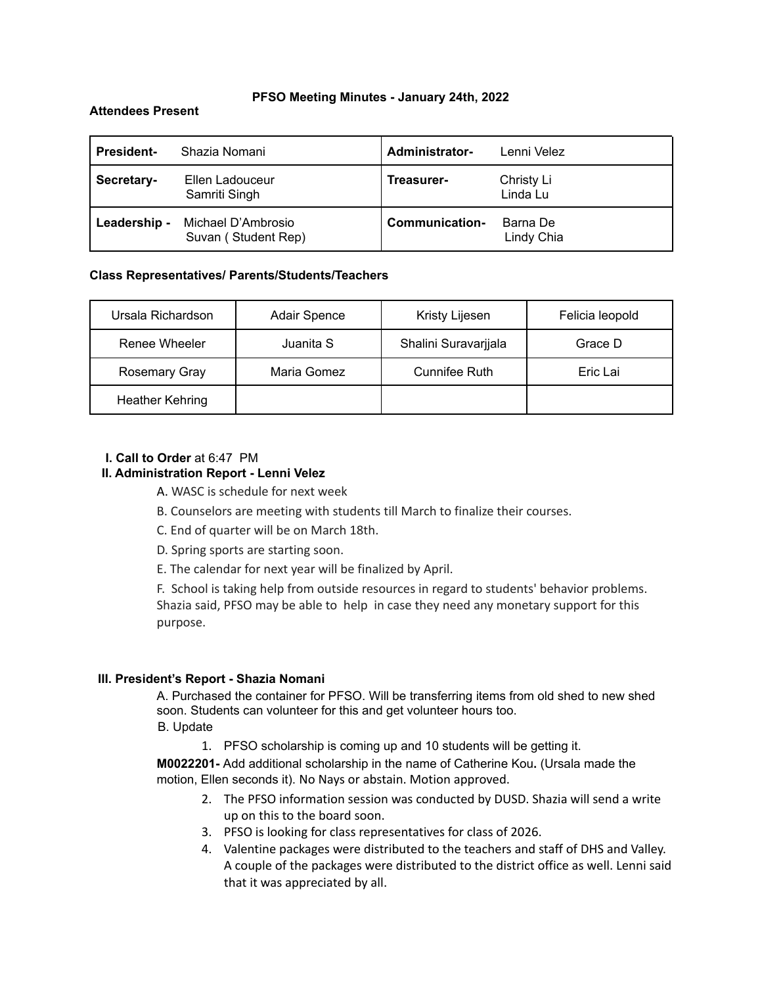#### **PFSO Meeting Minutes - January 24th, 2022**

### **Attendees Present**

| <b>President-</b> | Shazia Nomani                             | <b>Administrator-</b> | Lenni Velez            |
|-------------------|-------------------------------------------|-----------------------|------------------------|
| Secretary-        | Ellen Ladouceur<br>Samriti Singh          | Treasurer-            | Christy Li<br>Linda Lu |
| Leadership -      | Michael D'Ambrosio<br>Suvan (Student Rep) | Communication-        | Barna De<br>Lindy Chia |

### **Class Representatives/ Parents/Students/Teachers**

| Ursala Richardson      | Adair Spence | Kristy Lijesen       | Felicia leopold |
|------------------------|--------------|----------------------|-----------------|
| Renee Wheeler          | Juanita S    | Shalini Suravarjjala | Grace D         |
| Rosemary Gray          | Maria Gomez  | <b>Cunnifee Ruth</b> | Eric Lai        |
| <b>Heather Kehring</b> |              |                      |                 |

# **I. Call to Order** at 6:47 PM

### **II. Administration Report - Lenni Velez**

A. WASC is schedule for next week

- B. Counselors are meeting with students till March to finalize their courses.
- C. End of quarter will be on March 18th.
- D. Spring sports are starting soon.
- E. The calendar for next year will be finalized by April.

F. School is taking help from outside resources in regard to students' behavior problems. Shazia said, PFSO may be able to help in case they need any monetary support for this purpose.

#### **III. President's Report - Shazia Nomani**

A. Purchased the container for PFSO. Will be transferring items from old shed to new shed soon. Students can volunteer for this and get volunteer hours too.

B. Update

1. PFSO scholarship is coming up and 10 students will be getting it.

**M0022201-** Add additional scholarship in the name of Catherine Kou**.** (Ursala made the motion, Ellen seconds it). No Nays or abstain. Motion approved.

- 2. The PFSO information session was conducted by DUSD. Shazia will send a write up on this to the board soon.
- 3. PFSO is looking for class representatives for class of 2026.
- 4. Valentine packages were distributed to the teachers and staff of DHS and Valley. A couple of the packages were distributed to the district office as well. Lenni said that it was appreciated by all.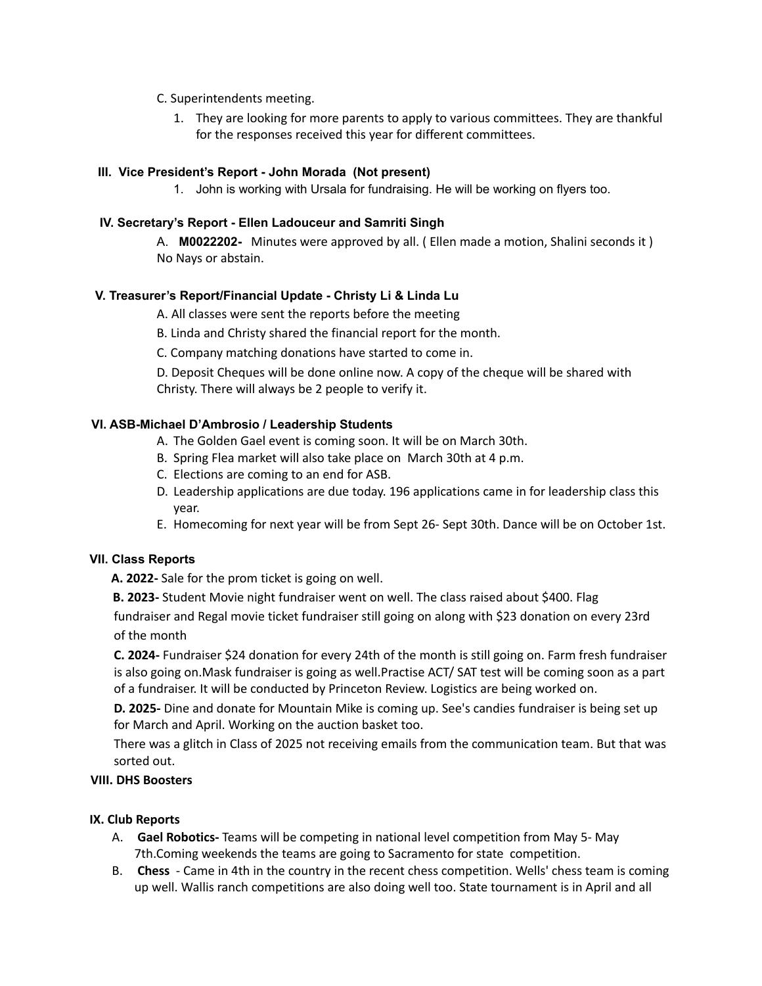# C. Superintendents meeting.

1. They are looking for more parents to apply to various committees. They are thankful for the responses received this year for different committees.

# **III. Vice President's Report - John Morada (Not present)**

1. John is working with Ursala for fundraising. He will be working on flyers too.

# **IV. Secretary's Report - Ellen Ladouceur and Samriti Singh**

A. **M0022202-** Minutes were approved by all. ( Ellen made a motion, Shalini seconds it ) No Nays or abstain.

# **V. Treasurer's Report/Financial Update - Christy Li & Linda Lu**

A. All classes were sent the reports before the meeting

B. Linda and Christy shared the financial report for the month.

C. Company matching donations have started to come in.

D. Deposit Cheques will be done online now. A copy of the cheque will be shared with Christy. There will always be 2 people to verify it.

# **VI. ASB-Michael D'Ambrosio / Leadership Students**

- A. The Golden Gael event is coming soon. It will be on March 30th.
- B. Spring Flea market will also take place on March 30th at 4 p.m.
- C. Elections are coming to an end for ASB.
- D. Leadership applications are due today. 196 applications came in for leadership class this year.
- E. Homecoming for next year will be from Sept 26- Sept 30th. Dance will be on October 1st.

# **VII. Class Reports**

**A. 2022-** Sale for the prom ticket is going on well.

**B. 2023-** Student Movie night fundraiser went on well. The class raised about \$400. Flag

fundraiser and Regal movie ticket fundraiser still going on along with \$23 donation on every 23rd of the month

**C. 2024-** Fundraiser \$24 donation for every 24th of the month is still going on. Farm fresh fundraiser is also going on.Mask fundraiser is going as well.Practise ACT/ SAT test will be coming soon as a part of a fundraiser. It will be conducted by Princeton Review. Logistics are being worked on.

**D. 2025-** Dine and donate for Mountain Mike is coming up. See's candies fundraiser is being set up for March and April. Working on the auction basket too.

There was a glitch in Class of 2025 not receiving emails from the communication team. But that was sorted out.

# **VIII. DHS Boosters**

# **IX. Club Reports**

- A. **Gael Robotics-** Teams will be competing in national level competition from May 5- May 7th.Coming weekends the teams are going to Sacramento for state competition.
- B. **Chess** Came in 4th in the country in the recent chess competition. Wells' chess team is coming up well. Wallis ranch competitions are also doing well too. State tournament is in April and all